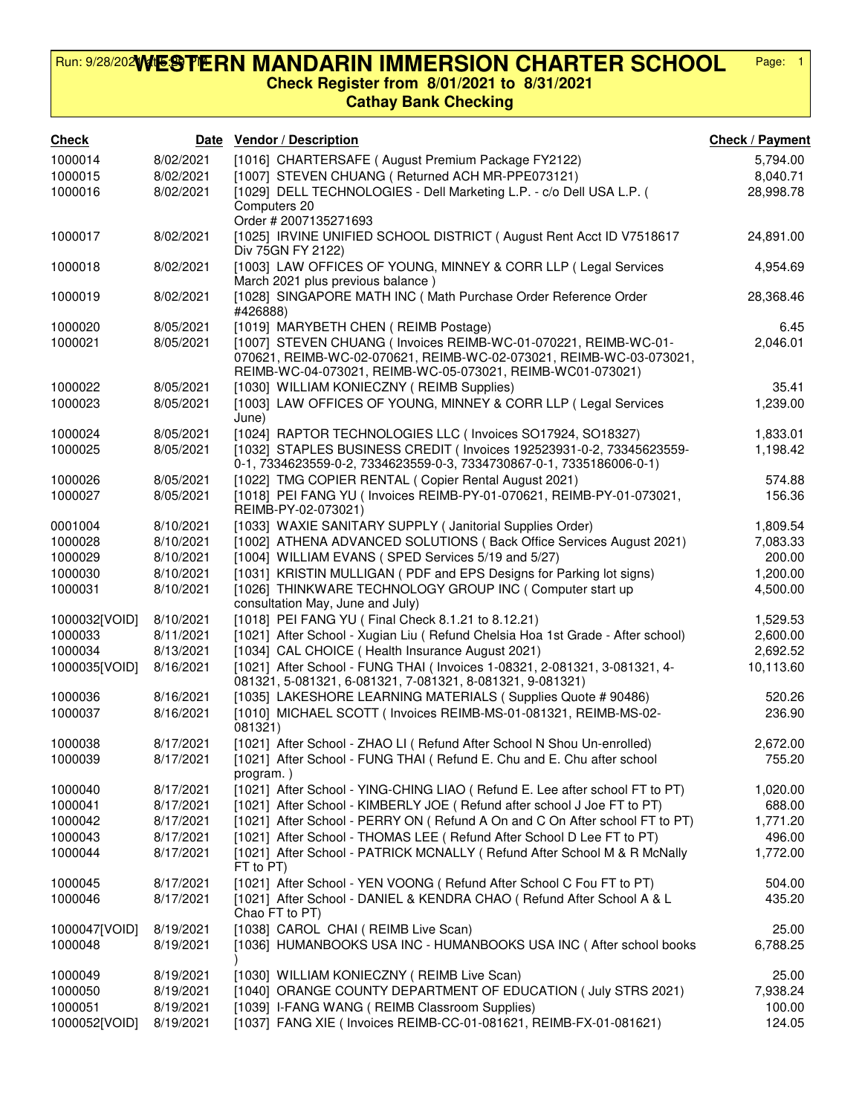## **WESTERN MANDARIN IMMERSION CHARTER SCHOOL Check Register from 8/01/2021 to 8/31/2021** Run: 9/28/202WtESPIERN MANDARIN IMMERSION CHARTER SCHOOL Page: 1

## **Cathay Bank Checking**

| <b>Check</b>             |                        | Date Vendor / Description                                                                                                                                                                            | <b>Check / Payment</b> |
|--------------------------|------------------------|------------------------------------------------------------------------------------------------------------------------------------------------------------------------------------------------------|------------------------|
| 1000014                  | 8/02/2021              | [1016] CHARTERSAFE (August Premium Package FY2122)                                                                                                                                                   | 5,794.00               |
| 1000015                  | 8/02/2021              | [1007] STEVEN CHUANG (Returned ACH MR-PPE073121)                                                                                                                                                     | 8,040.71               |
| 1000016                  | 8/02/2021              | [1029] DELL TECHNOLOGIES - Dell Marketing L.P. - c/o Dell USA L.P. (                                                                                                                                 | 28,998.78              |
|                          |                        | Computers 20<br>Order # 2007135271693                                                                                                                                                                |                        |
| 1000017                  | 8/02/2021              | [1025] IRVINE UNIFIED SCHOOL DISTRICT (August Rent Acct ID V7518617<br>Div 75GN FY 2122)                                                                                                             | 24,891.00              |
| 1000018                  | 8/02/2021              | [1003] LAW OFFICES OF YOUNG, MINNEY & CORR LLP (Legal Services<br>March 2021 plus previous balance)                                                                                                  | 4,954.69               |
| 1000019                  | 8/02/2021              | [1028] SINGAPORE MATH INC ( Math Purchase Order Reference Order<br>#426888)                                                                                                                          | 28,368.46              |
| 1000020                  | 8/05/2021              | [1019] MARYBETH CHEN ( REIMB Postage)                                                                                                                                                                | 6.45                   |
| 1000021                  | 8/05/2021              | [1007] STEVEN CHUANG (Invoices REIMB-WC-01-070221, REIMB-WC-01-<br>070621, REIMB-WC-02-070621, REIMB-WC-02-073021, REIMB-WC-03-073021,<br>REIMB-WC-04-073021, REIMB-WC-05-073021, REIMB-WC01-073021) | 2,046.01               |
| 1000022                  | 8/05/2021              | [1030] WILLIAM KONIECZNY (REIMB Supplies)                                                                                                                                                            | 35.41                  |
| 1000023                  | 8/05/2021              | [1003] LAW OFFICES OF YOUNG, MINNEY & CORR LLP (Legal Services<br>June)                                                                                                                              | 1,239.00               |
| 1000024                  | 8/05/2021              | [1024] RAPTOR TECHNOLOGIES LLC (Invoices SO17924, SO18327)                                                                                                                                           | 1,833.01               |
| 1000025                  | 8/05/2021              | [1032] STAPLES BUSINESS CREDIT (Invoices 192523931-0-2, 73345623559-<br>0-1, 7334623559-0-2, 7334623559-0-3, 7334730867-0-1, 7335186006-0-1)                                                         | 1,198.42               |
| 1000026                  | 8/05/2021              | [1022] TMG COPIER RENTAL ( Copier Rental August 2021)                                                                                                                                                | 574.88                 |
| 1000027                  | 8/05/2021              | [1018] PEI FANG YU ( Invoices REIMB-PY-01-070621, REIMB-PY-01-073021,<br>REIMB-PY-02-073021)                                                                                                         | 156.36                 |
| 0001004                  | 8/10/2021              | [1033] WAXIE SANITARY SUPPLY ( Janitorial Supplies Order)                                                                                                                                            | 1,809.54               |
| 1000028                  | 8/10/2021              | [1002] ATHENA ADVANCED SOLUTIONS (Back Office Services August 2021)                                                                                                                                  | 7,083.33               |
| 1000029                  | 8/10/2021              | [1004] WILLIAM EVANS (SPED Services 5/19 and 5/27)                                                                                                                                                   | 200.00                 |
| 1000030                  | 8/10/2021              | [1031] KRISTIN MULLIGAN (PDF and EPS Designs for Parking lot signs)                                                                                                                                  | 1,200.00               |
| 1000031                  | 8/10/2021              | [1026] THINKWARE TECHNOLOGY GROUP INC (Computer start up<br>consultation May, June and July)                                                                                                         | 4,500.00               |
| 1000032[VOID]            | 8/10/2021              | [1018] PEI FANG YU ( Final Check 8.1.21 to 8.12.21)                                                                                                                                                  | 1,529.53               |
| 1000033                  | 8/11/2021              | [1021] After School - Xugian Liu ( Refund Chelsia Hoa 1st Grade - After school)<br>[1034] CAL CHOICE (Health Insurance August 2021)                                                                  | 2,600.00               |
| 1000034<br>1000035[VOID] | 8/13/2021<br>8/16/2021 | [1021] After School - FUNG THAI (Invoices 1-08321, 2-081321, 3-081321, 4-                                                                                                                            | 2,692.52<br>10,113.60  |
|                          |                        | 081321, 5-081321, 6-081321, 7-081321, 8-081321, 9-081321)                                                                                                                                            |                        |
| 1000036<br>1000037       | 8/16/2021<br>8/16/2021 | [1035] LAKESHORE LEARNING MATERIALS (Supplies Quote # 90486)<br>[1010] MICHAEL SCOTT (Invoices REIMB-MS-01-081321, REIMB-MS-02-                                                                      | 520.26<br>236.90       |
|                          |                        | 081321)                                                                                                                                                                                              |                        |
| 1000038                  | 8/17/2021              | [1021] After School - ZHAO LI ( Refund After School N Shou Un-enrolled)                                                                                                                              | 2,672.00               |
| 1000039                  | 8/17/2021              | [1021] After School - FUNG THAI (Refund E. Chu and E. Chu after school<br>program.)                                                                                                                  | 755.20                 |
| 1000040                  | 8/17/2021              | [1021] After School - YING-CHING LIAO (Refund E. Lee after school FT to PT)                                                                                                                          | 1,020.00               |
| 1000041<br>1000042       | 8/17/2021<br>8/17/2021 | [1021] After School - KIMBERLY JOE ( Refund after school J Joe FT to PT)<br>[1021] After School - PERRY ON (Refund A On and C On After school FT to PT)                                              | 688.00<br>1,771.20     |
| 1000043                  | 8/17/2021              | [1021] After School - THOMAS LEE ( Refund After School D Lee FT to PT)                                                                                                                               | 496.00                 |
| 1000044                  | 8/17/2021              | [1021] After School - PATRICK MCNALLY (Refund After School M & R McNally                                                                                                                             | 1,772.00               |
| 1000045                  | 8/17/2021              | FT to PT)<br>[1021] After School - YEN VOONG (Refund After School C Fou FT to PT)                                                                                                                    |                        |
| 1000046                  | 8/17/2021              | [1021] After School - DANIEL & KENDRA CHAO ( Refund After School A & L                                                                                                                               | 504.00<br>435.20       |
|                          |                        | Chao FT to PT)                                                                                                                                                                                       |                        |
| 1000047[VOID]            | 8/19/2021              | [1038] CAROL CHAI (REIMB Live Scan)                                                                                                                                                                  | 25.00                  |
| 1000048                  | 8/19/2021              | [1036] HUMANBOOKS USA INC - HUMANBOOKS USA INC (After school books                                                                                                                                   | 6,788.25               |
| 1000049                  | 8/19/2021              | [1030] WILLIAM KONIECZNY (REIMB Live Scan)                                                                                                                                                           | 25.00                  |
| 1000050<br>1000051       | 8/19/2021<br>8/19/2021 | [1040] ORANGE COUNTY DEPARTMENT OF EDUCATION (July STRS 2021)<br>[1039] I-FANG WANG (REIMB Classroom Supplies)                                                                                       | 7,938.24<br>100.00     |
| 1000052[VOID]            | 8/19/2021              | [1037] FANG XIE ( Invoices REIMB-CC-01-081621, REIMB-FX-01-081621)                                                                                                                                   | 124.05                 |